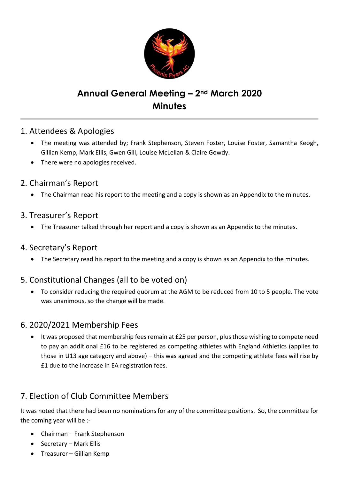

# Annual General Meeting – 2nd March 2020 **Minutes**

## 1. Attendees & Apologies

- The meeting was attended by; Frank Stephenson, Steven Foster, Louise Foster, Samantha Keogh, Gillian Kemp, Mark Ellis, Gwen Gill, Louise McLellan & Claire Gowdy.
- There were no apologies received.
- 2. Chairman's Report
	- The Chairman read his report to the meeting and a copy is shown as an Appendix to the minutes.

#### 3. Treasurer's Report

• The Treasurer talked through her report and a copy is shown as an Appendix to the minutes.

#### 4. Secretary's Report

• The Secretary read his report to the meeting and a copy is shown as an Appendix to the minutes.

## 5. Constitutional Changes (all to be voted on)

 To consider reducing the required quorum at the AGM to be reduced from 10 to 5 people. The vote was unanimous, so the change will be made.

## 6. 2020/2021 Membership Fees

• It was proposed that membership fees remain at £25 per person, plus those wishing to compete need to pay an additional £16 to be registered as competing athletes with England Athletics (applies to those in U13 age category and above) – this was agreed and the competing athlete fees will rise by £1 due to the increase in EA registration fees.

## 7. Election of Club Committee Members

It was noted that there had been no nominations for any of the committee positions. So, the committee for the coming year will be :-

- Chairman Frank Stephenson
- Secretary Mark Ellis
- Treasurer Gillian Kemp